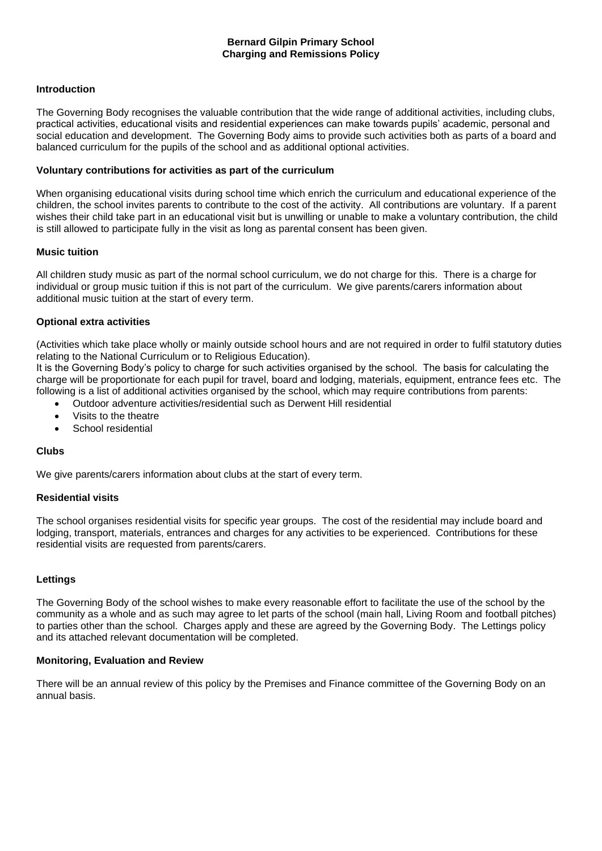## **Introduction**

The Governing Body recognises the valuable contribution that the wide range of additional activities, including clubs, practical activities, educational visits and residential experiences can make towards pupils' academic, personal and social education and development. The Governing Body aims to provide such activities both as parts of a board and balanced curriculum for the pupils of the school and as additional optional activities.

### **Voluntary contributions for activities as part of the curriculum**

When organising educational visits during school time which enrich the curriculum and educational experience of the children, the school invites parents to contribute to the cost of the activity. All contributions are voluntary. If a parent wishes their child take part in an educational visit but is unwilling or unable to make a voluntary contribution, the child is still allowed to participate fully in the visit as long as parental consent has been given.

## **Music tuition**

All children study music as part of the normal school curriculum, we do not charge for this. There is a charge for individual or group music tuition if this is not part of the curriculum. We give parents/carers information about additional music tuition at the start of every term.

## **Optional extra activities**

(Activities which take place wholly or mainly outside school hours and are not required in order to fulfil statutory duties relating to the National Curriculum or to Religious Education).

It is the Governing Body's policy to charge for such activities organised by the school. The basis for calculating the charge will be proportionate for each pupil for travel, board and lodging, materials, equipment, entrance fees etc. The following is a list of additional activities organised by the school, which may require contributions from parents:

- Outdoor adventure activities/residential such as Derwent Hill residential
- Visits to the theatre
- School residential

# **Clubs**

We give parents/carers information about clubs at the start of every term.

#### **Residential visits**

The school organises residential visits for specific year groups. The cost of the residential may include board and lodging, transport, materials, entrances and charges for any activities to be experienced. Contributions for these residential visits are requested from parents/carers.

# **Lettings**

The Governing Body of the school wishes to make every reasonable effort to facilitate the use of the school by the community as a whole and as such may agree to let parts of the school (main hall, Living Room and football pitches) to parties other than the school. Charges apply and these are agreed by the Governing Body. The Lettings policy and its attached relevant documentation will be completed.

#### **Monitoring, Evaluation and Review**

There will be an annual review of this policy by the Premises and Finance committee of the Governing Body on an annual basis.